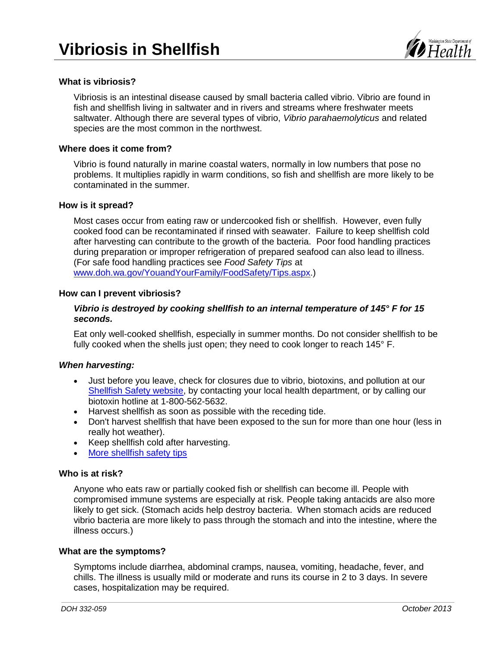

# **What is vibriosis?**

Vibriosis is an intestinal disease caused by small bacteria called vibrio. Vibrio are found in fish and shellfish living in saltwater and in rivers and streams where freshwater meets saltwater. Although there are several types of vibrio, *Vibrio parahaemolyticus* and related species are the most common in the northwest.

### **Where does it come from?**

Vibrio is found naturally in marine coastal waters, normally in low numbers that pose no problems. It multiplies rapidly in warm conditions, so fish and shellfish are more likely to be contaminated in the summer.

#### **How is it spread?**

Most cases occur from eating raw or undercooked fish or shellfish. However, even fully cooked food can be recontaminated if rinsed with seawater. Failure to keep shellfish cold after harvesting can contribute to the growth of the bacteria. Poor food handling practices during preparation or improper refrigeration of prepared seafood can also lead to illness. (For safe food handling practices see *Food Safety Tips* at [www.doh.wa.gov/YouandYourFamily/FoodSafety/Tips.aspx.](http://www.doh.wa.gov/YouandYourFamily/FoodSafety/Tips.aspx))

#### **How can I prevent vibriosis?**

# *Vibrio is destroyed by cooking shellfish to an internal temperature of 145° F for 15 seconds.*

Eat only well-cooked shellfish, especially in summer months. Do not consider shellfish to be fully cooked when the shells just open; they need to cook longer to reach 145° F.

## *When harvesting:*

- Just before you leave, check for closures due to vibrio, biotoxins, and pollution at our [Shellfish Safety website,](http://ww4.doh.wa.gov/scripts/esrimap.dll?Name=bioview&Step=1) by contacting your local health department, or by calling our biotoxin hotline at 1-800-562-5632.
- Harvest shellfish as soon as possible with the receding tide.
- Don't harvest shellfish that have been exposed to the sun for more than one hour (less in really hot weather).
- Keep shellfish cold after harvesting.
- [More shellfish safety tips](http://www.doh.wa.gov/Portals/1/Documents/4400/332-072-RecHarvest.pdf)

#### **Who is at risk?**

Anyone who eats raw or partially cooked fish or shellfish can become ill. People with compromised immune systems are especially at risk. People taking antacids are also more likely to get sick. (Stomach acids help destroy bacteria. When stomach acids are reduced vibrio bacteria are more likely to pass through the stomach and into the intestine, where the illness occurs.)

#### **What are the symptoms?**

Symptoms include diarrhea, abdominal cramps, nausea, vomiting, headache, fever, and chills. The illness is usually mild or moderate and runs its course in 2 to 3 days. In severe cases, hospitalization may be required.